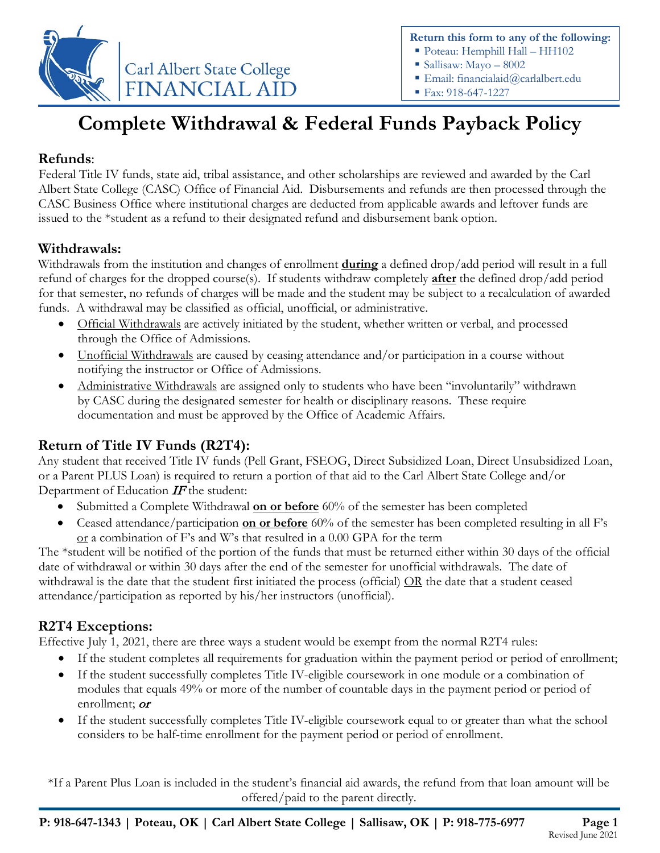

**Return this form to any of the following:**

- Poteau: Hemphill Hall HH102
- Sallisaw: Mayo 8002
- Email: financialaid@carlalbert.edu
- Fax: 918-647-1227

# **Complete Withdrawal & Federal Funds Payback Policy**

## **Refunds**:

Federal Title IV funds, state aid, tribal assistance, and other scholarships are reviewed and awarded by the Carl Albert State College (CASC) Office of Financial Aid. Disbursements and refunds are then processed through the CASC Business Office where institutional charges are deducted from applicable awards and leftover funds are issued to the \*student as a refund to their designated refund and disbursement bank option.

### **Withdrawals:**

Withdrawals from the institution and changes of enrollment **during** a defined drop/add period will result in a full refund of charges for the dropped course(s). If students withdraw completely **after** the defined drop/add period for that semester, no refunds of charges will be made and the student may be subject to a recalculation of awarded funds. A withdrawal may be classified as official, unofficial, or administrative.

- Official Withdrawals are actively initiated by the student, whether written or verbal, and processed through the Office of Admissions.
- Unofficial Withdrawals are caused by ceasing attendance and/or participation in a course without notifying the instructor or Office of Admissions.
- Administrative Withdrawals are assigned only to students who have been "involuntarily" withdrawn by CASC during the designated semester for health or disciplinary reasons. These require documentation and must be approved by the Office of Academic Affairs.

### **Return of Title IV Funds (R2T4):**

Any student that received Title IV funds (Pell Grant, FSEOG, Direct Subsidized Loan, Direct Unsubsidized Loan, or a Parent PLUS Loan) is required to return a portion of that aid to the Carl Albert State College and/or Department of Education  $IF$  the student:

- Submitted a Complete Withdrawal **on or before** 60% of the semester has been completed
- Ceased attendance/participation **on or before** 60% of the semester has been completed resulting in all F's or a combination of F's and W's that resulted in a 0.00 GPA for the term

The \*student will be notified of the portion of the funds that must be returned either within 30 days of the official date of withdrawal or within 30 days after the end of the semester for unofficial withdrawals. The date of withdrawal is the date that the student first initiated the process (official) OR the date that a student ceased attendance/participation as reported by his/her instructors (unofficial).

### **R2T4 Exceptions:**

Effective July 1, 2021, there are three ways a student would be exempt from the normal R2T4 rules:

- If the student completes all requirements for graduation within the payment period or period of enrollment;
- If the student successfully completes Title IV-eligible coursework in one module or a combination of modules that equals 49% or more of the number of countable days in the payment period or period of enrollment; or
- If the student successfully completes Title IV-eligible coursework equal to or greater than what the school considers to be half-time enrollment for the payment period or period of enrollment.

\*If a Parent Plus Loan is included in the student's financial aid awards, the refund from that loan amount will be offered/paid to the parent directly.